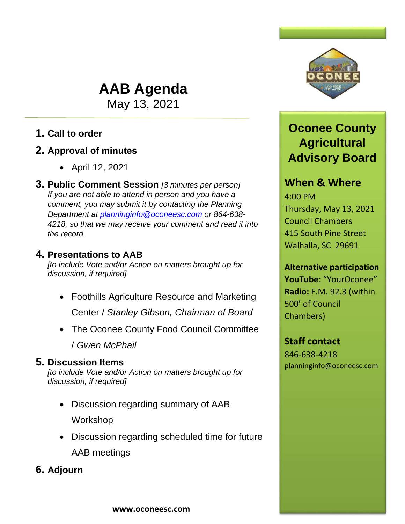# **AAB Agenda**

May 13, 2021

## **1. Call to order**

## **2. Approval of minutes**

- April 12, 2021
- **3. Public Comment Session** *[3 minutes per person] If you are not able to attend in person and you have a comment, you may submit it by contacting the Planning Department at [planninginfo@oconeesc.com](mailto:planninginfo@oconeesc.com) or 864-638- 4218, so that we may receive your comment and read it into the record.*

### **4. Presentations to AAB**

*[to include Vote and/or Action on matters brought up for discussion, if required]*

- Foothills Agriculture Resource and Marketing Center / *Stanley Gibson, Chairman of Board*
- The Oconee County Food Council Committee

/ *Gwen McPhail*

## **5. Discussion Items**

*[to include Vote and/or Action on matters brought up for discussion, if required]*

- Discussion regarding summary of AAB Workshop
- Discussion regarding scheduled time for future AAB meetings

**6. Adjourn**



## **Oconee County Agricultural Advisory Board**

## **When & Where**

4:00 PM Thursday, May 13, 2021 Council Chambers 415 South Pine Street Walhalla, SC 29691

## **Alternative participation**

**YouTube**: "YourOconee" **Radio:** F.M. 92.3 (within 500' of Council Chambers)

### **Staff contact**

846-638-4218 planninginfo@oconeesc.com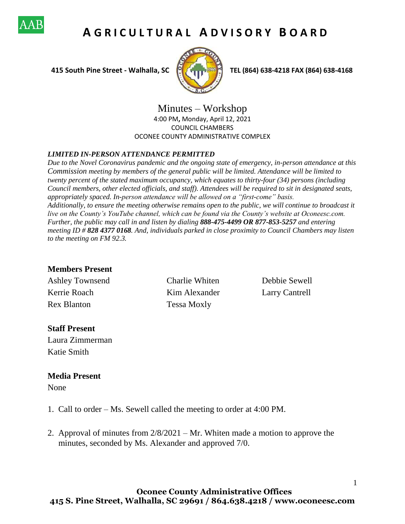

## **A G R I C U L T U R A L A D V I S O R Y B O A R D**



 **415 South Pine Street - Walhalla, SC TEL (864) 638-4218 FAX (864) 638-4168**

Minutes – Workshop 4:00 PM**,** Monday, April 12, 2021 COUNCIL CHAMBERS OCONEE COUNTY ADMINISTRATIVE COMPLEX

#### *LIMITED IN-PERSON ATTENDANCE PERMITTED*

*Due to the Novel Coronavirus pandemic and the ongoing state of emergency, in-person attendance at this Commission meeting by members of the general public will be limited. Attendance will be limited to twenty percent of the stated maximum occupancy, which equates to thirty-four (34) persons (including Council members, other elected officials, and staff). Attendees will be required to sit in designated seats, appropriately spaced. In-person attendance will be allowed on a "first-come" basis. Additionally, to ensure the meeting otherwise remains open to the public, we will continue to broadcast it live on the County's YouTube channel, which can be found via the County's website at Oconeesc.com. Further, the public may call in and listen by dialing 888-475-4499 OR 877-853-5257 and entering meeting ID # 828 4377 0168. And, individuals parked in close proximity to Council Chambers may listen to the meeting on FM 92.3.* 

#### **Members Present**

Kerrie Roach Kim Alexander Larry Cantrell Rex Blanton Tessa Moxly

Ashley Townsend Charlie Whiten Debbie Sewell

1

#### **Staff Present**

Laura Zimmerman Katie Smith

#### **Media Present**

None

- 1. Call to order Ms. Sewell called the meeting to order at 4:00 PM.
- 2. Approval of minutes from 2/8/2021 Mr. Whiten made a motion to approve the minutes, seconded by Ms. Alexander and approved 7/0.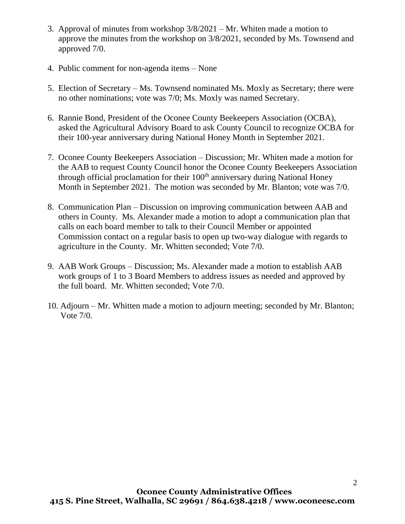- 3. Approval of minutes from workshop 3/8/2021 Mr. Whiten made a motion to approve the minutes from the workshop on 3/8/2021, seconded by Ms. Townsend and approved 7/0.
- 4. Public comment for non-agenda items None
- 5. Election of Secretary Ms. Townsend nominated Ms. Moxly as Secretary; there were no other nominations; vote was 7/0; Ms. Moxly was named Secretary.
- 6. Rannie Bond, President of the Oconee County Beekeepers Association (OCBA), asked the Agricultural Advisory Board to ask County Council to recognize OCBA for their 100-year anniversary during National Honey Month in September 2021.
- 7. Oconee County Beekeepers Association Discussion; Mr. Whiten made a motion for the AAB to request County Council honor the Oconee County Beekeepers Association through official proclamation for their  $100<sup>th</sup>$  anniversary during National Honey Month in September 2021. The motion was seconded by Mr. Blanton; vote was 7/0.
- 8. Communication Plan Discussion on improving communication between AAB and others in County. Ms. Alexander made a motion to adopt a communication plan that calls on each board member to talk to their Council Member or appointed Commission contact on a regular basis to open up two-way dialogue with regards to agriculture in the County. Mr. Whitten seconded; Vote 7/0.
- 9. AAB Work Groups Discussion; Ms. Alexander made a motion to establish AAB work groups of 1 to 3 Board Members to address issues as needed and approved by the full board. Mr. Whitten seconded; Vote 7/0.
- 10. Adjourn Mr. Whitten made a motion to adjourn meeting; seconded by Mr. Blanton; Vote 7/0.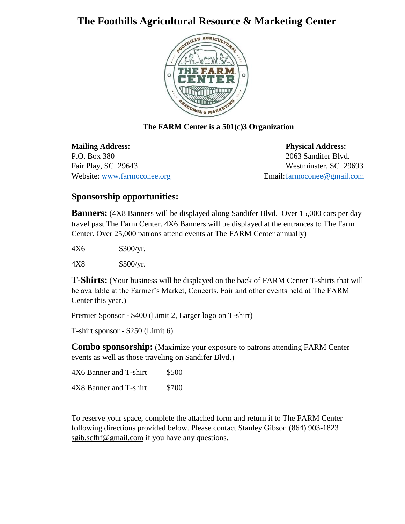## **The Foothills Agricultural Resource & Marketing Center**



#### **The FARM Center is a 501(c)3 Organization**

**Mailing Address: Physical Address:** P.O. Box 380 2063 Sandifer Blvd. Fair Play, SC 29643 Westminster, SC 29693 Website: [www.farmoconee.org](about:blank) **Email:** farmoconee@gmail.com

### **Sponsorship opportunities:**

**Banners:** (4X8 Banners will be displayed along Sandifer Blvd. Over 15,000 cars per day travel past The Farm Center. 4X6 Banners will be displayed at the entrances to The Farm Center. Over 25,000 patrons attend events at The FARM Center annually)

4X6 \$300/yr.

4X8 \$500/yr.

**T-Shirts:** (Your business will be displayed on the back of FARM Center T-shirts that will be available at the Farmer's Market, Concerts, Fair and other events held at The FARM Center this year.)

Premier Sponsor - \$400 (Limit 2, Larger logo on T-shirt)

T-shirt sponsor - \$250 (Limit 6)

**Combo sponsorship:** (Maximize your exposure to patrons attending FARM Center events as well as those traveling on Sandifer Blvd.)

4X6 Banner and T-shirt \$500 4X8 Banner and T-shirt \$700

To reserve your space, complete the attached form and return it to The FARM Center following directions provided below. Please contact Stanley Gibson (864) 903-1823 sgib.scfhf@gmail.com if you have any questions.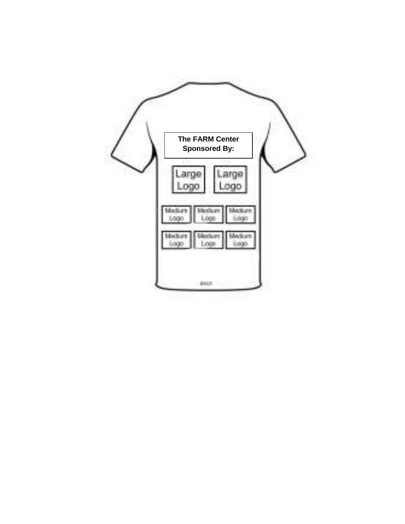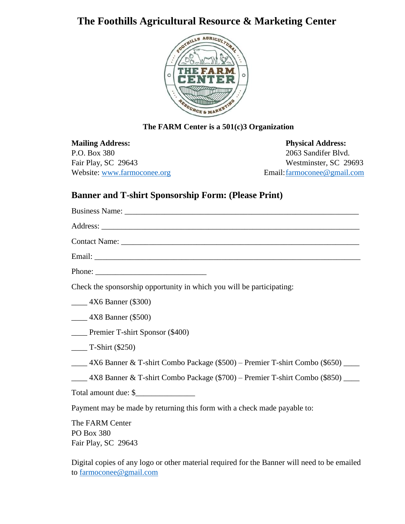## **The Foothills Agricultural Resource & Marketing Center**



#### **The FARM Center is a 501(c)3 Organization**

**Mailing Address: Physical Address:** P.O. Box 380 2063 Sandifer Blvd. Fair Play, SC 29643 Westminster, SC 29693 Website: [www.farmoconee.org](about:blank) Email: farmoconee@gmail.com

### **Banner and T-shirt Sponsorship Form: (Please Print)**

| Check the sponsorship opportunity in which you will be participating:      |
|----------------------------------------------------------------------------|
| $\frac{1}{2}$ 4X6 Banner (\$300)                                           |
| $\frac{4X8}{2}$ Banner (\$500)                                             |
| <b>____</b> Premier T-shirt Sponsor (\$400)                                |
| $\frac{1}{2}$ T-Shirt (\$250)                                              |
| 4X6 Banner & T-shirt Combo Package (\$500) – Premier T-shirt Combo (\$650) |
| 4X8 Banner & T-shirt Combo Package (\$700) – Premier T-shirt Combo (\$850) |
| Total amount due: \$                                                       |
| Payment may be made by returning this form with a check made payable to:   |
| The FARM Center<br><b>PO Box 380</b><br>Fair Play, SC 29643                |

Digital copies of any logo or other material required for the Banner will need to be emailed to [farmoconee@gmail.com](about:blank)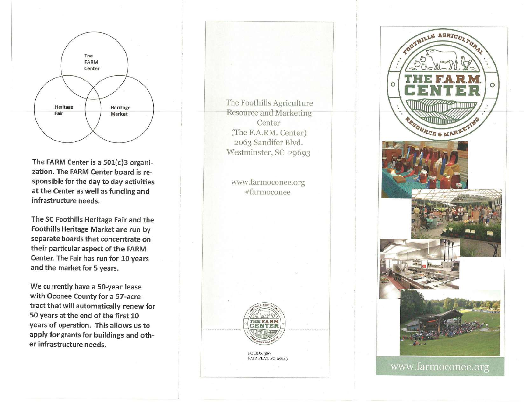

The FARM Center is a 501(c)3 organization. The FARM Center board is responsible for the day to day activities at the Center as well as funding and infrastructure needs.

The SC Foothills Heritage Fair and the **Foothills Heritage Market are run by** separate boards that concentrate on their particular aspect of the FARM Center. The Fair has run for 10 years and the market for 5 years.

We currently have a 50-year lease with Oconee County for a 57-acre tract that will automatically renew for 50 years at the end of the first 10 years of operation. This allows us to apply for grants for buildings and other infrastructure needs.

The Foothills Agriculture Resource and Marketing Center (The F.A.RM. Center) 2063 Sandifer Blvd. Westminster, SC 29693

www.farmoconee.org #farmoconee



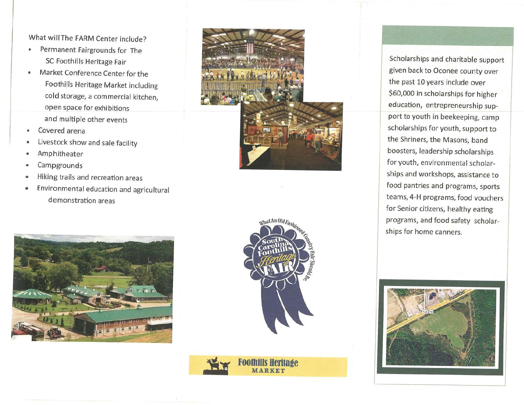What will The FARM Center include?

- Permanent Fairgrounds for The SC Foothills Heritage Fair
- Market Conference Center for the  $\bullet$ Foothills Heritage Market including cold storage, a commercial kitchen, open space for exhibitions and multiple other events
- Covered arena
- Livestock show and sale facility
- Amphitheater
- Campgrounds
- Hiking trails and recreation areas  $\bullet$
- Environmental education and agricultural  $\bullet$ demonstration areas







**Foothills Heritage** MARKET

Scholarships and charitable support given back to Oconee county over the past 10 years include over \$60,000 in scholarships for higher education, entrepreneurship support to youth in beekeeping, camp scholarships for youth, support to the Shriners, the Masons, band boosters, leadership scholarships for youth, environmental scholarships and workshops, assistance to food pantries and programs, sports teams, 4-H programs, food vouchers for Senior citizens, healthy eating programs, and food safety scholarships for home canners.

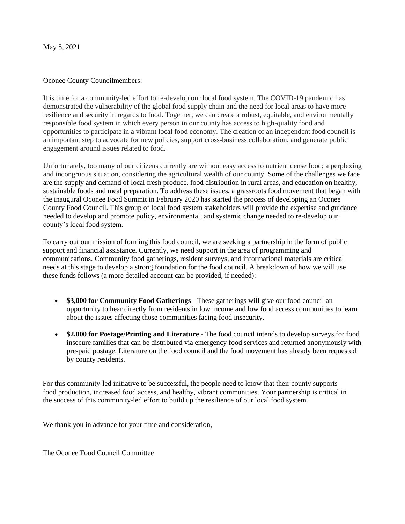May 5, 2021

#### Oconee County Councilmembers:

It is time for a community-led effort to re-develop our local food system. The COVID-19 pandemic has demonstrated the vulnerability of the global food supply chain and the need for local areas to have more resilience and security in regards to food. Together, we can create a robust, equitable, and environmentally responsible food system in which every person in our county has access to high-quality food and opportunities to participate in a vibrant local food economy. The creation of an independent food council is an important step to advocate for new policies, support cross-business collaboration, and generate public engagement around issues related to food.

Unfortunately, too many of our citizens currently are without easy access to nutrient dense food; a perplexing and incongruous situation, considering the agricultural wealth of our county. Some of the challenges we face are the supply and demand of local fresh produce, food distribution in rural areas, and education on healthy, sustainable foods and meal preparation. To address these issues, a grassroots food movement that began with the inaugural Oconee Food Summit in February 2020 has started the process of developing an Oconee County Food Council. This group of local food system stakeholders will provide the expertise and guidance needed to develop and promote policy, environmental, and systemic change needed to re-develop our county's local food system.

To carry out our mission of forming this food council, we are seeking a partnership in the form of public support and financial assistance. Currently, we need support in the area of programming and communications. Community food gatherings, resident surveys, and informational materials are critical needs at this stage to develop a strong foundation for the food council. A breakdown of how we will use these funds follows (a more detailed account can be provided, if needed):

- **\$3,000 for Community Food Gatherings** These gatherings will give our food council an opportunity to hear directly from residents in low income and low food access communities to learn about the issues affecting those communities facing food insecurity.
- **\$2,000 for Postage/Printing and Literature**  The food council intends to develop surveys for food insecure families that can be distributed via emergency food services and returned anonymously with pre-paid postage. Literature on the food council and the food movement has already been requested by county residents.

For this community-led initiative to be successful, the people need to know that their county supports food production, increased food access, and healthy, vibrant communities. Your partnership is critical in the success of this community-led effort to build up the resilience of our local food system.

We thank you in advance for your time and consideration,

The Oconee Food Council Committee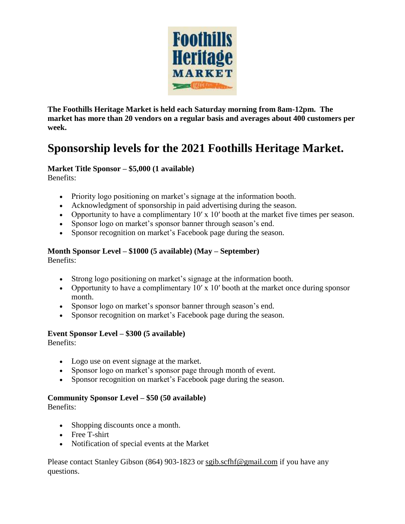

**The Foothills Heritage Market is held each Saturday morning from 8am-12pm. The market has more than 20 vendors on a regular basis and averages about 400 customers per week.** 

## **Sponsorship levels for the 2021 Foothills Heritage Market.**

### **Market Title Sponsor – \$5,000 (1 available)**

Benefits:

- Priority logo positioning on market's signage at the information booth.
- Acknowledgment of sponsorship in paid advertising during the season.
- Opportunity to have a complimentary  $10'$  x  $10'$  booth at the market five times per season.
- Sponsor logo on market's sponsor banner through season's end.
- Sponsor recognition on market's Facebook page during the season.

### **Month Sponsor Level – \$1000 (5 available) (May – September)**

Benefits:

- Strong logo positioning on market's signage at the information booth.
- Opportunity to have a complimentary  $10'$  x  $10'$  booth at the market once during sponsor month.
- Sponsor logo on market's sponsor banner through season's end.
- Sponsor recognition on market's Facebook page during the season.

#### **Event Sponsor Level – \$300 (5 available)**

Benefits:

- Logo use on event signage at the market.
- Sponsor logo on market's sponsor page through month of event.
- Sponsor recognition on market's Facebook page during the season.

#### **Community Sponsor Level – \$50 (50 available)**

Benefits:

- Shopping discounts once a month.
- Free T-shirt
- Notification of special events at the Market

Please contact Stanley Gibson (864) 903-1823 or sgib.scfhf@gmail.com if you have any questions.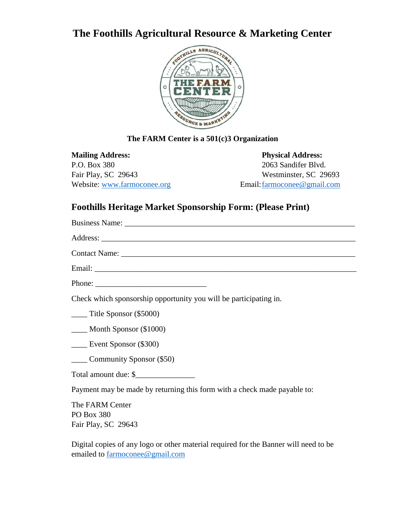## **The Foothills Agricultural Resource & Marketing Center**



### **The FARM Center is a 501(c)3 Organization**

**Mailing Address: Physical Address:** P.O. Box 380 2063 Sandifer Blvd. Fair Play, SC 29643 Westminster, SC 29693 Website: [www.farmoconee.org](about:blank) Email[:farmoconee@gmail.com](about:blank)

### **Foothills Heritage Market Sponsorship Form: (Please Print)**

| Phone: $\frac{1}{\sqrt{1-\frac{1}{2}}\sqrt{1-\frac{1}{2}}\sqrt{1-\frac{1}{2}}\sqrt{1-\frac{1}{2}}\sqrt{1-\frac{1}{2}}\sqrt{1-\frac{1}{2}}\sqrt{1-\frac{1}{2}}\sqrt{1-\frac{1}{2}}\sqrt{1-\frac{1}{2}}\sqrt{1-\frac{1}{2}}\sqrt{1-\frac{1}{2}}\sqrt{1-\frac{1}{2}}\sqrt{1-\frac{1}{2}}\sqrt{1-\frac{1}{2}}\sqrt{1-\frac{1}{2}}\sqrt{1-\frac{1}{2}}\sqrt{1-\frac{1}{2}}\sqrt{1-\frac{1}{2}}\sqrt{1-\frac{1}{2$ |
|--------------------------------------------------------------------------------------------------------------------------------------------------------------------------------------------------------------------------------------------------------------------------------------------------------------------------------------------------------------------------------------------------------------|
| Check which sponsorship opportunity you will be participating in.                                                                                                                                                                                                                                                                                                                                            |
| $\frac{1}{2}$ Title Sponsor (\$5000)                                                                                                                                                                                                                                                                                                                                                                         |
| $\frac{1}{2}$ Month Sponsor (\$1000)                                                                                                                                                                                                                                                                                                                                                                         |
| $\frac{1}{2}$ Event Sponsor (\$300)                                                                                                                                                                                                                                                                                                                                                                          |
| Community Sponsor (\$50)                                                                                                                                                                                                                                                                                                                                                                                     |
| Total amount due: \$                                                                                                                                                                                                                                                                                                                                                                                         |
| Payment may be made by returning this form with a check made payable to:                                                                                                                                                                                                                                                                                                                                     |
| The FARM Center<br>PO Box 380<br>Fair Play, SC 29643                                                                                                                                                                                                                                                                                                                                                         |

Digital copies of any logo or other material required for the Banner will need to be emailed to [farmoconee@gmail.com](about:blank)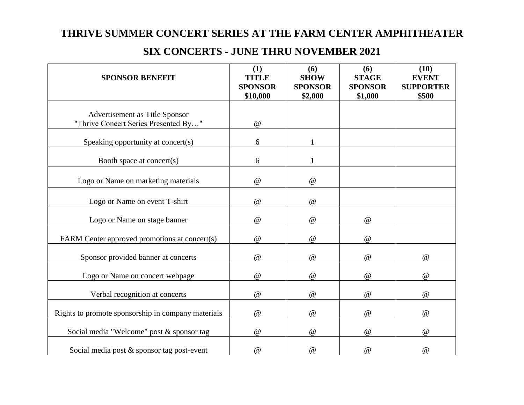## **THRIVE SUMMER CONCERT SERIES AT THE FARM CENTER AMPHITHEATER**

| <b>SPONSOR BENEFIT</b>                                                 | (1)<br><b>TITLE</b><br><b>SPONSOR</b><br>\$10,000 | (6)<br><b>SHOW</b><br><b>SPONSOR</b><br>\$2,000 | (6)<br><b>STAGE</b><br><b>SPONSOR</b><br>\$1,000 | (10)<br><b>EVENT</b><br><b>SUPPORTER</b><br>\$500 |
|------------------------------------------------------------------------|---------------------------------------------------|-------------------------------------------------|--------------------------------------------------|---------------------------------------------------|
| Advertisement as Title Sponsor<br>"Thrive Concert Series Presented By" | $^\text{\textregistered}$                         |                                                 |                                                  |                                                   |
| Speaking opportunity at concert(s)                                     | 6                                                 | $\mathbf{1}$                                    |                                                  |                                                   |
| Booth space at concert(s)                                              | 6                                                 | $\mathbf{1}$                                    |                                                  |                                                   |
| Logo or Name on marketing materials                                    | @                                                 | @                                               |                                                  |                                                   |
| Logo or Name on event T-shirt                                          | $^\text{\textregistered}$                         | $^\text{\textregistered}$                       |                                                  |                                                   |
| Logo or Name on stage banner                                           | $^\text{\textregistered}$                         | @                                               | $\omega$                                         |                                                   |
| FARM Center approved promotions at concert(s)                          | $\mathcal Q$                                      | @                                               | $\mathcal Q$                                     |                                                   |
| Sponsor provided banner at concerts                                    | @                                                 | @                                               | @                                                | $\omega$                                          |
| Logo or Name on concert webpage                                        | $\omega$                                          | @                                               | @                                                | $\omega$                                          |
| Verbal recognition at concerts                                         | $^\text{\textregistered}$                         | $\omega$                                        | $\omega$                                         | @                                                 |
| Rights to promote sponsorship in company materials                     | $\circledR$                                       | $^\text{\textregistered}$                       | $\mathcal Q$                                     | $^\text{\textregistered}$                         |
| Social media "Welcome" post & sponsor tag                              | $\omega$                                          | $\omega$                                        | @                                                | $\omega$                                          |
| Social media post & sponsor tag post-event                             | $^\text{\textregistered}$                         | $\mathcal Q$                                    | $\omega$                                         | @                                                 |

## **SIX CONCERTS - JUNE THRU NOVEMBER 2021**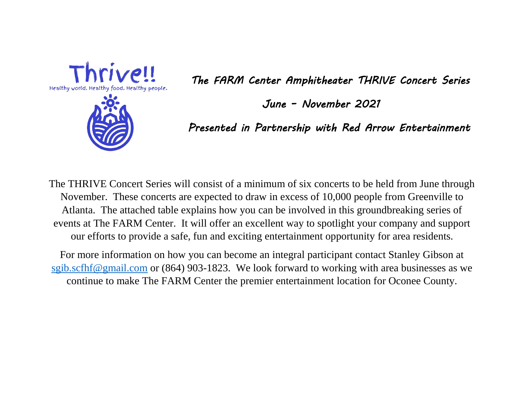

*The FARM Center Amphitheater THRIVE Concert Series* 

*June – November 2021* 

*Presented in Partnership with Red Arrow Entertainment* 

The THRIVE Concert Series will consist of a minimum of six concerts to be held from June through November. These concerts are expected to draw in excess of 10,000 people from Greenville to Atlanta. The attached table explains how you can be involved in this groundbreaking series of events at The FARM Center. It will offer an excellent way to spotlight your company and support our efforts to provide a safe, fun and exciting entertainment opportunity for area residents.

For more information on how you can become an integral participant contact Stanley Gibson at [sgib.scfhf@gmail.com](about:blank) or (864) 903-1823. We look forward to working with area businesses as we continue to make The FARM Center the premier entertainment location for Oconee County.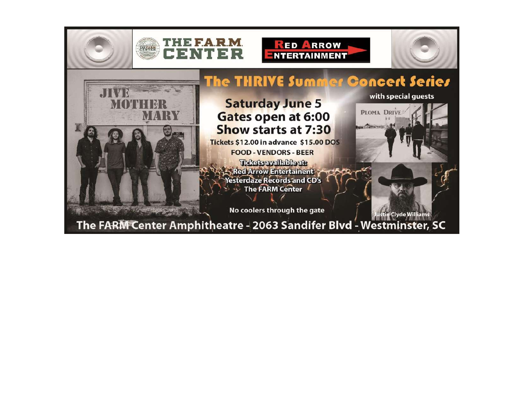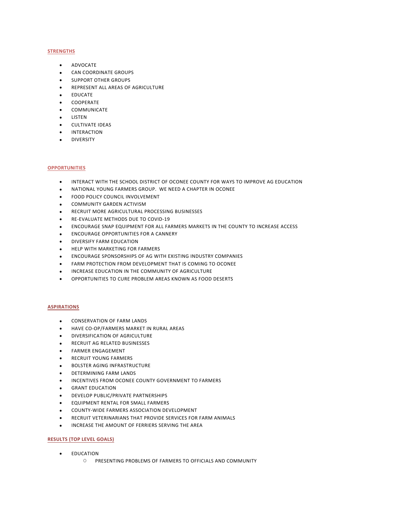#### **STRENGTHS**

- ADVOCATE
- CAN COORDINATE GROUPS
- SUPPORT OTHER GROUPS
- **REPRESENT ALL AREAS OF AGRICULTURE**
- EDUCATE
- COOPERATE
- COMMUNICATE
- LISTEN
- **•** CULTIVATE IDEAS
- **•** INTERACTION
- DIVERSITY

#### **OPPORTUNITIES**

- INTERACT WITH THE SCHOOL DISTRICT OF OCONEE COUNTY FOR WAYS TO IMPROVE AG EDUCATION
- NATIONAL YOUNG FARMERS GROUP. WE NEED A CHAPTER IN OCONEE
- **FOOD POLICY COUNCIL INVOLVEMENT**
- COMMUNITY GARDEN ACTIVISM
- RECRUIT MORE AGRICULTURAL PROCESSING BUSINESSES
- RE-EVALUATE METHODS DUE TO COVID-19
- ENCOURAGE SNAP EQUIPMENT FOR ALL FARMERS MARKETS IN THE COUNTY TO INCREASE ACCESS
- ENCOURAGE OPPORTUNITIES FOR A CANNERY
- **DIVERSIFY FARM EDUCATION**
- **HELP WITH MARKETING FOR FARMERS**
- ENCOURAGE SPONSORSHIPS OF AG WITH EXISTING INDUSTRY COMPANIES
- FARM PROTECTION FROM DEVELOPMENT THAT IS COMING TO OCONEE
- **INCREASE EDUCATION IN THE COMMUNITY OF AGRICULTURE**
- OPPORTUNITIES TO CURE PROBLEM AREAS KNOWN AS FOOD DESERTS

#### **ASPIRATIONS**

- CONSERVATION OF FARM LANDS
- HAVE CO-OP/FARMERS MARKET IN RURAL AREAS
- **DIVERSIFICATION OF AGRICULTURE**
- **RECRUIT AG RELATED BUSINESSES**
- FARMER ENGAGEMENT
- RECRUIT YOUNG FARMERS
- **BOLSTER AGING INFRASTRUCTURE**
- **•** DETERMINING FARM LANDS
- $\bullet$  INCENTIVES FROM OCONEE COUNTY GOVERNMENT TO FARMERS
- **•** GRANT EDUCATION
- **•** DEVELOP PUBLIC/PRIVATE PARTNERSHIPS
- EQUIPMENT RENTAL FOR SMALL FARMERS
- COUNTY-WIDE FARMERS ASSOCIATION DEVELOPMENT
- RECRUIT VETERINARIANS THAT PROVIDE SERVICES FOR FARM ANIMALS
- INCREASE THE AMOUNT OF FERRIERS SERVING THE AREA

#### **RESULTS (TOP LEVEL GOALS)**

- **• EDUCATION** 
	- O PRESENTING PROBLEMS OF FARMERS TO OFFICIALS AND COMMUNITY